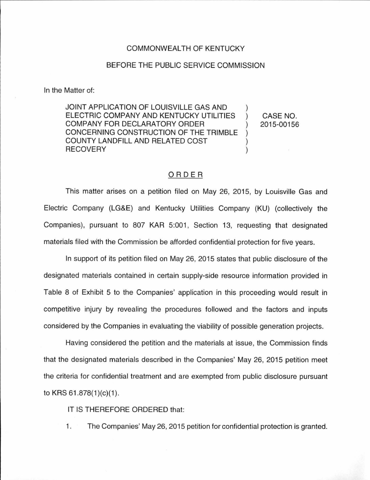## COMMONWEALTH OF KENTUCKY

## BEFORE THE PUBLIC SERVICE COMMISSION

In the Matter of:

JOINT APPLICATION OF LOUISVILLE GAS AND ) ELECTRIC COMPANY AND KENTUCKY UTILITIES ) CASE NO. COMPANY FOR DECLARATORY ORDER ) 2015-00156 CONCERNING CONSTRUCTION OF THE TRIMBLE ) COUNTY LANDFILL AND RELATED COST ) RECOVERY (and the state of the state of the state of the state of the state of the state of the state of the state of the state of the state of the state of the state of the state of the state of the state of the state of

## ORDER

This matter arises on a petition filed on May 26, 2015, by Louisville Gas and Electric Company (LG&E) and Kentucky Utilities Company (KU) (collectively the Companies), pursuant to 807 KAR 5:001, Section 13, requesting that designated materials filed with the Commission be afforded confidential protection for five years.

In support of its petition filed on May 26, 2015 states that public disclosure of the designated materials contained in certain supply-side resource information provided in Table 8 of Exhibit 5 to the Companies' application in this proceeding would result in competitive injury by revealing the procedures followed and the factors and inputs considered by the Companies in evaluating the viability of possible generation projects.

Having considered the petition and the materials at issue, the Commission finds that the designated materials described in the Companies' May 26, 2015 petition meet the criteria for confidential treatment and are exempted from public disclosure pursuant to KRS  $61.878(1)(c)(1)$ .

IT IS THEREFORE ORDERED that:

1. The Companies' May 26, 2015 petition for confidential protection is granted.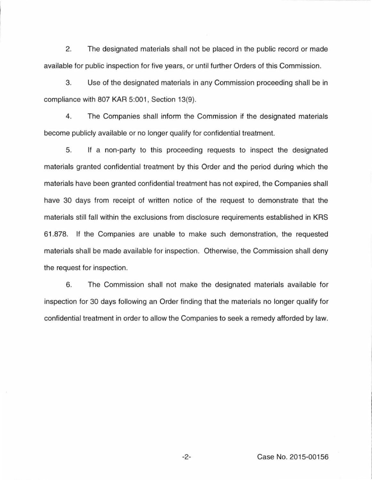2. The designated materials shall not be placed in the public record or made available for public inspection for five years, or until further Orders of this Commission.

3. Use of the designated materials in any Commission proceeding shall be in compliance with 807 KAR 5:001, Section 13(9).

4. The Companies shall inform the Commission if the designated materials become publicly available or no longer qualify for confidential treatment.

5. If a non-party to this proceeding requests to inspect the designated materials granted confidential treatment by this Order and the period during which the materials have been granted confidential treatment has not expired, the Companies shall have 30 days from receipt of written notice of the request to demonstrate that the materials still fall within the exclusions from disclosure requirements established in KRS 61.878. If the Companies are unable to make such demonstration, the requested materials shall be made available for inspection. Otherwise, the Commission shall deny the request for inspection.

6. The Commission shall not make the designated materials available for inspection for 30 days following an Order finding that the materials no longer qualify for confidential treatment in order to allow the Companies to seek a remedy afforded by law.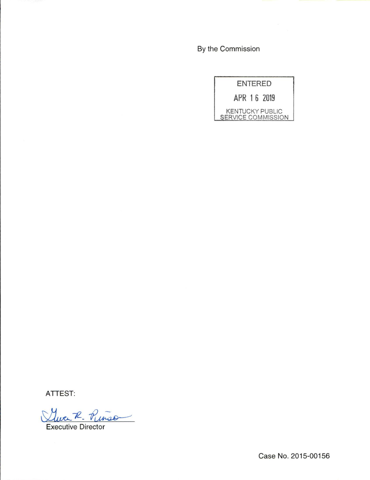By the Commission

| <b>ENTERED</b> |  |                                              |  |
|----------------|--|----------------------------------------------|--|
|                |  | APR 16 2019                                  |  |
|                |  | <b>KENTUCKY PUBLIC</b><br>SERVICE COMMISSION |  |

ATTEST:

Queek. Pinso

Executive Director

Case No. 2015-00156